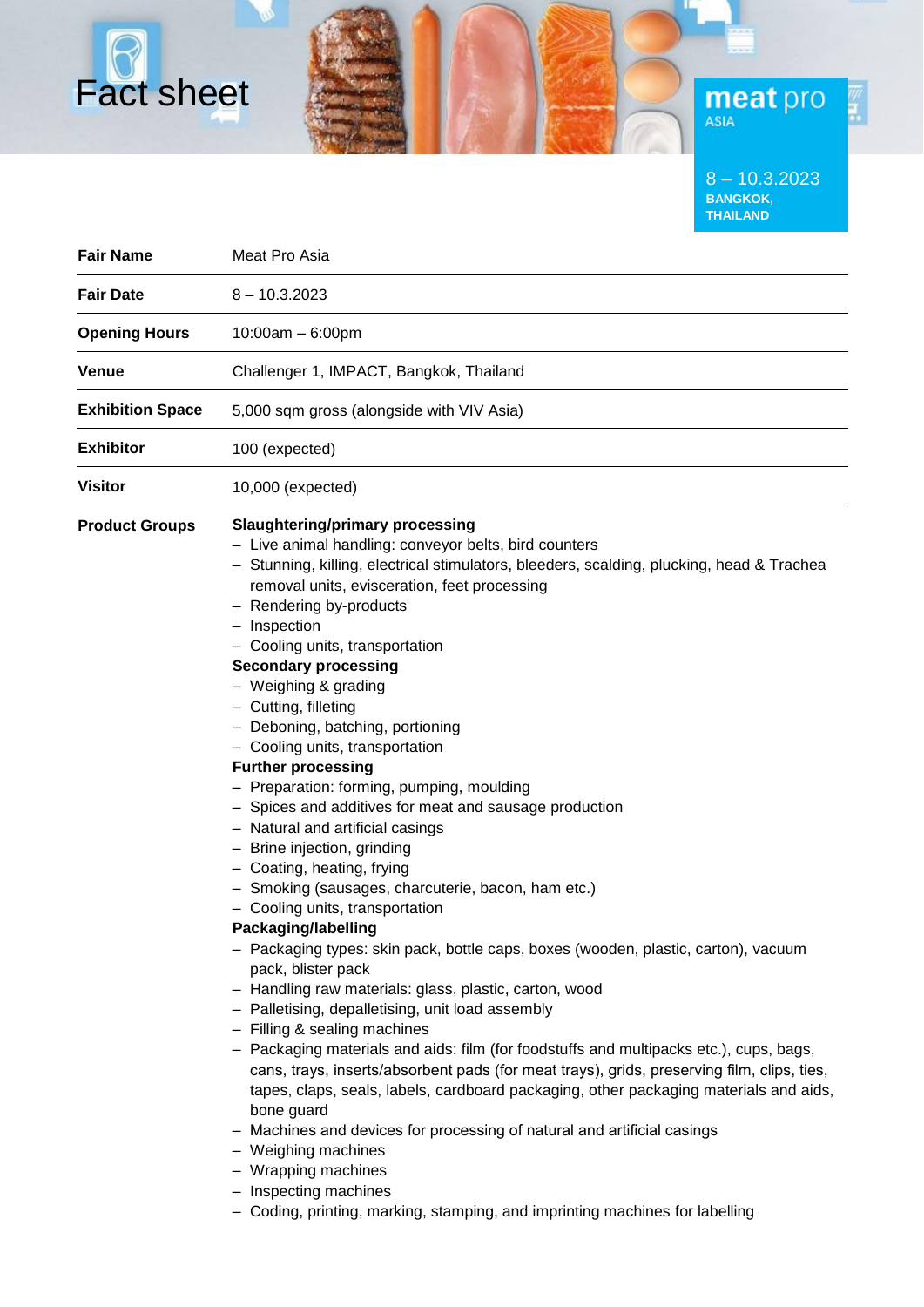8 – 10.3.2023 **BANGKOK, THAILAND**

**meat** pro

| <b>Fair Name</b>        | Meat Pro Asia                                                                                                                                                                                                                                                                                                                                                                                                                                                                                                                                                                                                                                                                                                                                                                                                                                                                                                                                                                                                                                                                                                                                                                                                                                                                                                                                                                                                                                                                                                                                    |  |  |
|-------------------------|--------------------------------------------------------------------------------------------------------------------------------------------------------------------------------------------------------------------------------------------------------------------------------------------------------------------------------------------------------------------------------------------------------------------------------------------------------------------------------------------------------------------------------------------------------------------------------------------------------------------------------------------------------------------------------------------------------------------------------------------------------------------------------------------------------------------------------------------------------------------------------------------------------------------------------------------------------------------------------------------------------------------------------------------------------------------------------------------------------------------------------------------------------------------------------------------------------------------------------------------------------------------------------------------------------------------------------------------------------------------------------------------------------------------------------------------------------------------------------------------------------------------------------------------------|--|--|
|                         |                                                                                                                                                                                                                                                                                                                                                                                                                                                                                                                                                                                                                                                                                                                                                                                                                                                                                                                                                                                                                                                                                                                                                                                                                                                                                                                                                                                                                                                                                                                                                  |  |  |
| <b>Fair Date</b>        | $8 - 10.3.2023$                                                                                                                                                                                                                                                                                                                                                                                                                                                                                                                                                                                                                                                                                                                                                                                                                                                                                                                                                                                                                                                                                                                                                                                                                                                                                                                                                                                                                                                                                                                                  |  |  |
| <b>Opening Hours</b>    | $10:00am - 6:00pm$                                                                                                                                                                                                                                                                                                                                                                                                                                                                                                                                                                                                                                                                                                                                                                                                                                                                                                                                                                                                                                                                                                                                                                                                                                                                                                                                                                                                                                                                                                                               |  |  |
| Venue                   | Challenger 1, IMPACT, Bangkok, Thailand                                                                                                                                                                                                                                                                                                                                                                                                                                                                                                                                                                                                                                                                                                                                                                                                                                                                                                                                                                                                                                                                                                                                                                                                                                                                                                                                                                                                                                                                                                          |  |  |
| <b>Exhibition Space</b> | 5,000 sqm gross (alongside with VIV Asia)                                                                                                                                                                                                                                                                                                                                                                                                                                                                                                                                                                                                                                                                                                                                                                                                                                                                                                                                                                                                                                                                                                                                                                                                                                                                                                                                                                                                                                                                                                        |  |  |
| <b>Exhibitor</b>        | 100 (expected)                                                                                                                                                                                                                                                                                                                                                                                                                                                                                                                                                                                                                                                                                                                                                                                                                                                                                                                                                                                                                                                                                                                                                                                                                                                                                                                                                                                                                                                                                                                                   |  |  |
| Visitor                 | 10,000 (expected)                                                                                                                                                                                                                                                                                                                                                                                                                                                                                                                                                                                                                                                                                                                                                                                                                                                                                                                                                                                                                                                                                                                                                                                                                                                                                                                                                                                                                                                                                                                                |  |  |
| <b>Product Groups</b>   | <b>Slaughtering/primary processing</b><br>- Live animal handling: conveyor belts, bird counters<br>- Stunning, killing, electrical stimulators, bleeders, scalding, plucking, head & Trachea<br>removal units, evisceration, feet processing<br>- Rendering by-products<br>- Inspection<br>- Cooling units, transportation<br><b>Secondary processing</b><br>- Weighing & grading<br>- Cutting, filleting<br>- Deboning, batching, portioning<br>- Cooling units, transportation<br><b>Further processing</b><br>- Preparation: forming, pumping, moulding<br>- Spices and additives for meat and sausage production<br>- Natural and artificial casings<br>- Brine injection, grinding<br>- Coating, heating, frying<br>- Smoking (sausages, charcuterie, bacon, ham etc.)<br>- Cooling units, transportation<br>Packaging/labelling<br>- Packaging types: skin pack, bottle caps, boxes (wooden, plastic, carton), vacuum<br>pack, blister pack<br>- Handling raw materials: glass, plastic, carton, wood<br>- Palletising, depalletising, unit load assembly<br>- Filling & sealing machines<br>- Packaging materials and aids: film (for foodstuffs and multipacks etc.), cups, bags,<br>cans, trays, inserts/absorbent pads (for meat trays), grids, preserving film, clips, ties,<br>tapes, claps, seals, labels, cardboard packaging, other packaging materials and aids,<br>bone guard<br>- Machines and devices for processing of natural and artificial casings<br>- Weighing machines<br>- Wrapping machines<br>- Inspecting machines |  |  |

Fact sheet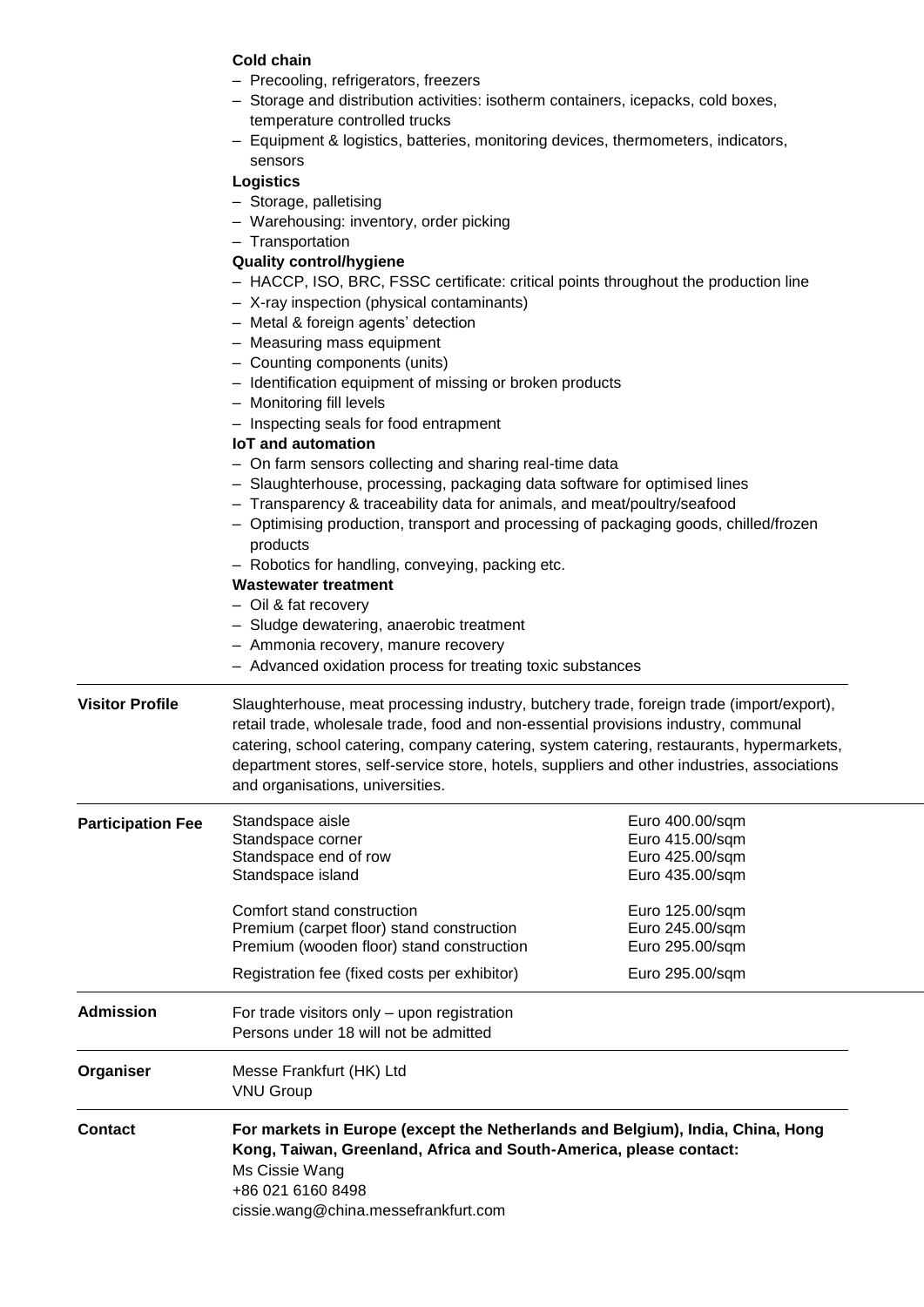# **Cold chain**

- Precooling, refrigerators, freezers
- Storage and distribution activities: isotherm containers, icepacks, cold boxes, temperature controlled trucks
- Equipment & logistics, batteries, monitoring devices, thermometers, indicators, sensors

## **Logistics**

- Storage, palletising
- Warehousing: inventory, order picking
- Transportation

# **Quality control/hygiene**

- HACCP, ISO, BRC, FSSC certificate: critical points throughout the production line
- X-ray inspection (physical contaminants)
- Metal & foreign agents' detection
- Measuring mass equipment
- Counting components (units)
- Identification equipment of missing or broken products
- Monitoring fill levels
- Inspecting seals for food entrapment

### **IoT and automation**

- On farm sensors collecting and sharing real-time data
- Slaughterhouse, processing, packaging data software for optimised lines
- Transparency & traceability data for animals, and meat/poultry/seafood
- Optimising production, transport and processing of packaging goods, chilled/frozen products
- Robotics for handling, conveying, packing etc.

## **Wastewater treatment**

- Oil & fat recovery
- Sludge dewatering, anaerobic treatment
- Ammonia recovery, manure recovery
- Advanced oxidation process for treating toxic substances
- **Visitor Profile** Slaughterhouse, meat processing industry, butchery trade, foreign trade (import/export), retail trade, wholesale trade, food and non-essential provisions industry, communal catering, school catering, company catering, system catering, restaurants, hypermarkets, department stores, self-service store, hotels, suppliers and other industries, associations and organisations, universities.

| <b>Participation Fee</b> | Standspace aisle<br>Standspace corner<br>Standspace end of row<br>Standspace island                                                                                                         | Euro 400.00/sqm<br>Euro 415.00/sqm<br>Euro 425.00/sqm<br>Euro 435.00/sqm |  |
|--------------------------|---------------------------------------------------------------------------------------------------------------------------------------------------------------------------------------------|--------------------------------------------------------------------------|--|
|                          | Comfort stand construction<br>Premium (carpet floor) stand construction<br>Premium (wooden floor) stand construction                                                                        | Euro 125.00/sqm<br>Euro 245.00/sqm<br>Euro 295.00/sqm                    |  |
|                          | Registration fee (fixed costs per exhibitor)                                                                                                                                                | Euro 295.00/sqm                                                          |  |
| <b>Admission</b>         | For trade visitors only – upon registration<br>Persons under 18 will not be admitted                                                                                                        |                                                                          |  |
| Organiser                | Messe Frankfurt (HK) Ltd<br><b>VNU Group</b>                                                                                                                                                |                                                                          |  |
| <b>Contact</b>           | For markets in Europe (except the Netherlands and Belgium), India, China, Hong<br>Kong, Taiwan, Greenland, Africa and South-America, please contact:<br>Ms Cissie Wang<br>+86 021 6160 8498 |                                                                          |  |

cissie.wang@china.messefrankfurt.com